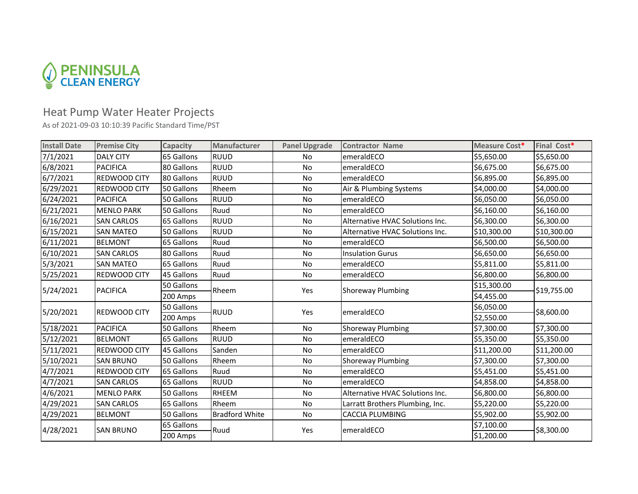

## Heat Pump Water Heater Projects

As of 2021-09-03 10:10:39 Pacific Standard Time/PST

| <b>Install Date</b> | <b>Premise City</b> | Capacity   | Manufacturer          | <b>Panel Upgrade</b> | <b>Contractor Name</b>          | Measure Cost* | Final Cost* |
|---------------------|---------------------|------------|-----------------------|----------------------|---------------------------------|---------------|-------------|
| 7/1/2021            | <b>DALY CITY</b>    | 65 Gallons | <b>RUUD</b>           | No.                  | emeraldECO                      | \$5,650.00    | \$5,650.00  |
| 6/8/2021            | <b>PACIFICA</b>     | 80 Gallons | <b>RUUD</b>           | <b>No</b>            | emeraldECO                      | \$6,675.00    | \$6,675.00  |
| 6/7/2021            | REDWOOD CITY        | 80 Gallons | <b>RUUD</b>           | No                   | emeraldECO                      | \$6,895.00    | \$6,895.00  |
| 6/29/2021           | REDWOOD CITY        | 50 Gallons | Rheem                 | <b>No</b>            | Air & Plumbing Systems          | \$4,000.00    | \$4,000.00  |
| 6/24/2021           | <b>PACIFICA</b>     | 50 Gallons | <b>RUUD</b>           | No                   | emeraldECO                      | \$6,050.00    | \$6,050.00  |
| 6/21/2021           | <b>MENLO PARK</b>   | 50 Gallons | Ruud                  | <b>No</b>            | emeraldECO                      | \$6,160.00    | \$6,160.00  |
| 6/16/2021           | <b>SAN CARLOS</b>   | 65 Gallons | <b>RUUD</b>           | No                   | Alternative HVAC Solutions Inc. | \$6,300.00    | \$6,300.00  |
| 6/15/2021           | <b>SAN MATEO</b>    | 50 Gallons | <b>RUUD</b>           | No                   | Alternative HVAC Solutions Inc. | \$10,300.00   | \$10,300.00 |
| 6/11/2021           | <b>BELMONT</b>      | 65 Gallons | Ruud                  | No                   | emeraldECO                      | \$6,500.00    | \$6,500.00  |
| 6/10/2021           | <b>SAN CARLOS</b>   | 80 Gallons | Ruud                  | No                   | <b>Insulation Gurus</b>         | \$6,650.00    | \$6,650.00  |
| 5/3/2021            | <b>SAN MATEO</b>    | 65 Gallons | Ruud                  | No                   | emeraldECO                      | \$5,811.00    | \$5,811.00  |
| 5/25/2021           | REDWOOD CITY        | 45 Gallons | Ruud                  | No                   | emeraldECO                      | \$6,800.00    | \$6,800.00  |
| 5/24/2021           | <b>PACIFICA</b>     | 50 Gallons | Rheem                 | Yes                  | <b>Shoreway Plumbing</b>        | \$15,300.00   | \$19,755.00 |
|                     |                     | 200 Amps   |                       |                      |                                 | \$4,455.00    |             |
| 5/20/2021           | <b>REDWOOD CITY</b> | 50 Gallons | <b>RUUD</b>           | Yes                  | emeraldECO                      | \$6,050.00    | \$8,600.00  |
|                     |                     | 200 Amps   |                       |                      |                                 | \$2,550.00    |             |
| 5/18/2021           | <b>PACIFICA</b>     | 50 Gallons | Rheem                 | No                   | <b>Shoreway Plumbing</b>        | \$7,300.00    | \$7,300.00  |
| 5/12/2021           | <b>BELMONT</b>      | 65 Gallons | <b>RUUD</b>           | No                   | emeraldECO                      | \$5,350.00    | \$5,350.00  |
| 5/11/2021           | <b>REDWOOD CITY</b> | 45 Gallons | Sanden                | No                   | emeraldECO                      | \$11,200.00   | \$11,200.00 |
| 5/10/2021           | <b>SAN BRUNO</b>    | 50 Gallons | Rheem                 | No                   | <b>Shoreway Plumbing</b>        | \$7,300.00    | \$7,300.00  |
| 4/7/2021            | REDWOOD CITY        | 65 Gallons | Ruud                  | No                   | emeraldECO                      | \$5,451.00    | \$5,451.00  |
| 4/7/2021            | <b>SAN CARLOS</b>   | 65 Gallons | <b>RUUD</b>           | No                   | emeraldECO                      | \$4,858.00    | \$4,858.00  |
| 4/6/2021            | <b>MENLO PARK</b>   | 50 Gallons | <b>RHEEM</b>          | No                   | Alternative HVAC Solutions Inc. | \$6,800.00    | \$6,800.00  |
| 4/29/2021           | <b>SAN CARLOS</b>   | 65 Gallons | Rheem                 | No                   | Larratt Brothers Plumbing, Inc. | \$5,220.00    | \$5,220.00  |
| 4/29/2021           | <b>BELMONT</b>      | 50 Gallons | <b>Bradford White</b> | No                   | <b>CACCIA PLUMBING</b>          | \$5,902.00    | \$5,902.00  |
| 4/28/2021           | <b>SAN BRUNO</b>    | 65 Gallons | Ruud                  | Yes                  | emeraldECO                      | \$7,100.00    | \$8,300.00  |
|                     |                     | 200 Amps   |                       |                      |                                 | \$1,200.00    |             |